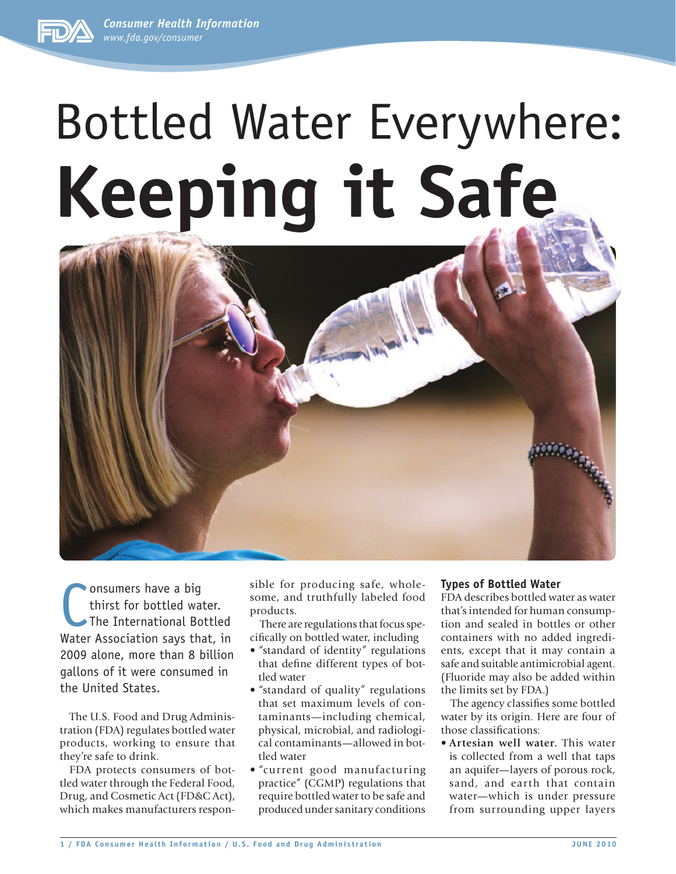*Consumer Health Information www.fda.gov/consumer*



# Bottled Water Everywhere: **Keeping it Safe**



Consumers have a big<br>thirst for bottled water.<br>The International Bottled<br>Water Association says that, in onsumers have a big thirst for bottled water. The International Bottled 2009 alone, more than 8 billion gallons of it were consumed in the United States.

The U.S. Food and Drug Administration (FDA) regulates bottled water products, working to ensure that they're safe to drink.

FDA protects consumers of bottled water through the Federal Food, Drug, and Cosmetic Act (FD&C Act), which makes manufacturers responsible for producing safe, wholesome, and truthfully labeled food products.

There are regulations that focus specifically on bottled water, including

- "standard of identity" regulations that define different types of bottled water
- "standard of quality" regulations that set maximum levels of contaminants—including chemical, physical, microbial, and radiological contaminants—allowed in bottled water
- "current good manufacturing practice" (CGMP) regulations that require bottled water to be safe and produced under sanitary conditions

## **Types of Bottled Water**

FDA describes bottled water as water that's intended for human consumption and sealed in bottles or other containers with no added ingredients, except that it may contain a safe and suitable antimicrobial agent. (Fluoride may also be added within the limits set by FDA.)

The agency classifies some bottled water by its origin. Here are four of those classifications:

• **Artesian well water.** This water is collected from a well that taps an aquifer—layers of porous rock, sand, and earth that contain water—which is under pressure from surrounding upper layers